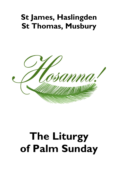## **St James, Haslingden St Thomas, Musbury**



# **The Liturgy of Palm Sunday**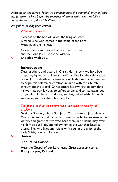*Welcome to this service. Today we commemorate the triumphal entry of Jesus into Jerusalem which began the sequence of events which we shall follow during the course of this Holy Week.* 

*We gather, holding palm crosses.*

## *When all are ready*

Hosanna to the Son of David, the King of Israel. Blessed is he who comes in the name of the Lord. Hosanna in the highest.

Grace, mercy and peace from God our Father and the Lord Jesus Christ be with you.

All **and also with you.**

## **Introduction**

Dear brothers and sisters in Christ, during Lent we have been preparing by works of love and self-sacrifice for the celebration of our Lord's death and resurrection. Today we come together to begin this solemn celebration in union with the Church throughout the world. Christ enters his own city to complete his work as our Saviour, to suffer, to die, and to rise again. Let us go with him in faith and love, so that, united with him in his sufferings, we may share his risen life.

## *The people hold up their palms while this prayer is said by the president*

God our Saviour, whose Son Jesus Christ entered Jerusalem as Messiah to suffer and to die; let these palms be for us signs of his victory and grant that we who bear them in his name may ever hail him as our King, and follow him in the way that leads to eternal life; who lives and reigns with you, in the unity of the Holy Spirit, now and for ever.

All **Amen.**

## **The Palm Gospel**

Hear the Gospel of our Lord Jesus Christ according to *N*. All **Glory to you, O Lord.**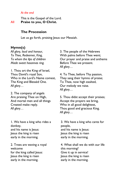#### *At the end*

This is the Gospel of the Lord. All **Praise to you, O Christ.**

## **The Procession**

Let us go forth, praising Jesus our Messiah.

## **Hymn(s)**

*All glory, laud and honour, To Thee, Redeemer, King, To whom the lips of children Made sweet hosannas ring.*

1. Thou art the King of Israel, Thou David's royal Son, Who in the Lord's Name comest, The King and Blessèd One. *All glory…*

2. The company of angels Are praising Thee on High, And mortal men and all things Created make reply. *All glory…*

1. We have a king who rides a donkey, and his name is Jesus: Jesus the king is risen early in the morning.

2. Trees are waving a royal welcome for the king called Jesus: Jesus the king is risen early in the morning.

3. The people of the Hebrews With palms before Thee went; Our prayer and praise and anthems Before Thee we present. *All glory…*

4. To Thee, before Thy passion, They sang their hymns of praise; To Thee, now high exalted, Our melody we raise. *All glory…*

5. Thou didst accept their praises; Accept the prayers we bring, Who in all good delightest, Thou good and gracious King. *All glory…*

3. We have a king who cares for people, and his name is Jesus: Jesus the king is risen early in the morning.

4. What shall we do with our life this morning? Give it up in service! Jesus the king is risen early in the morning.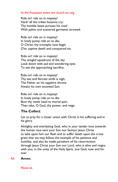### *As the Procession enters the church we sing*

Ride on! ride on in majesty! Hark! all the tribes hosanna cry; Thy humble beast pursues his road With palms and scattered garments strowed.

Ride on! ride on in majesty! In lowly pomp ride on to die; O Christ, thy triumphs now begin O'er captive death and conquered sin.

Ride on! ride on in majesty! The wingèd squadrons of the sky Look down with sad and wondering eyes To see the approaching sacrifice.

Ride on! ride on in majesty! Thy last and fiercest strife is nigh; The Father on his sapphire throne Awaits his own anointed Son.

Ride on! ride on in majesty! In lowly pomp ride on to die; Bow thy meek head to mortal pain, Then take, O God, thy power, and reign.

## **The Collect**

Let us pray for a closer union with Christ in his suffering and in his glory.

Almighty and everlasting God, who in your tender love towards the human race sent your Son our Saviour Jesus Christ to take upon him our flesh and to suffer death upon the cross: grant that we may follow the example of his patience and humility, and also be made partakers of his resurrection; through Jesus Christ your Son our Lord, who is alive and reigns with you, in the unity of the Holy Spirit, one God, now and for ever.

### All **Amen.**

*Please sit.*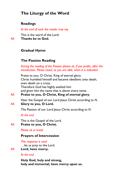## **The Liturgy of the Word**

## **Readings**

*At the end of each the reader may say* 

This is the word of the Lord. All **Thanks be to God.**

## **Gradual Hymn**

## **The Passion Reading**

*During the reading of the Passion please sit, if you prefer, after the introduction. Please stand, as you are able, when it is indicated.*

Praise to you, O Christ, King of eternal glory. Christ humbled himself and became obedient unto death, even death on a cross. Therefore God has highly exalted him and given him the name that is above every name.

All **Praise to you, O Christ, King of eternal glory.**

Hear the Gospel of our Lord Jesus Christ according to *N*. All **Glory to you, O Lord.**

The Passion of our Lord Jesus Christ according to *N*.

## *At the end*

This is the Gospel of the Lord. All **Praise to you, O Christ.**

*Please sit or kneel.*

## **Prayers of Intercession**

*This response is used* …let us pray to the Lord.

All **Lord, have mercy.**

## *At the end*

**Holy God, holy and strong, holy and immortal, have mercy upon us.**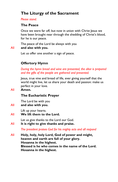## **The Liturgy of the Sacrament**

*Please stand.*

## **The Peace**

Once we were far off, but now in union with Christ Jesus we have been brought near through the shedding of Christ's blood, for he is our peace.

The peace of the Lord be always with you All **and also with you.**

Let us offer one another a sign of peace.

## **Offertory Hymn**

*During the hymn bread and wine are presented, the altar is prepared and the gifts of the people are gathered and presented.* 

Jesus, true vine and bread of life, ever giving yourself that the world might live, let us share your death and passion: make us perfect in your love.

All **Amen.**

## **The Eucharistic Prayer**

The Lord be with you

### All **and also with you.**

Lift up your hearts.

All **We lift them to the Lord.**

Let us give thanks to the Lord our God.

All **It is right to give thanks and praise.**

*The president praises God for his mighty acts and all respond* 

All **Holy, holy, holy Lord, God of power and might, heaven and earth are full of your glory. Hosanna in the highest. Blessed is he who comes in the name of the Lord. Hosanna in the highest.**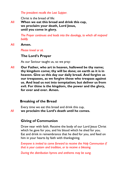*The president recalls the Last Supper.*

Christ is the bread of life:

All **When we eat this bread and drink this cup, we proclaim your death, Lord Jesus, until you come in glory.**

> *The Prayer continues and leads into the doxology, to which all respond boldly*

### All **Amen.**

*Please kneel or sit.*

## **The Lord's Prayer**

As our Saviour taught us, so we pray:

All **Our Father, who art in heaven, hallowed be thy name; thy kingdom come; thy will be done; on earth as it is in heaven. Give us this day our daily bread. And forgive us our trespasses, as we forgive those who trespass against us. And lead us not into temptation; but deliver us from evil. For thine is the kingdom, the power and the glory, for ever and ever. Amen.**

## **Breaking of the Bread**

Every time we eat this bread and drink this cup, *All* **we proclaim the Lord's death until he comes.**

## **Giving of Communion**

Draw near with faith. Receive the body of our Lord Jesus Christ which he gave for you, and his blood which he shed for you. Eat and drink in remembrance that he died for you, and feed on him in your hearts by faith with thanksgiving.

*Everyone is invited to come forward to receive the Holy Communion if that is your custom and tradition, or to receive a blessing.*

*During the distribution hymns and anthems may be sung.*